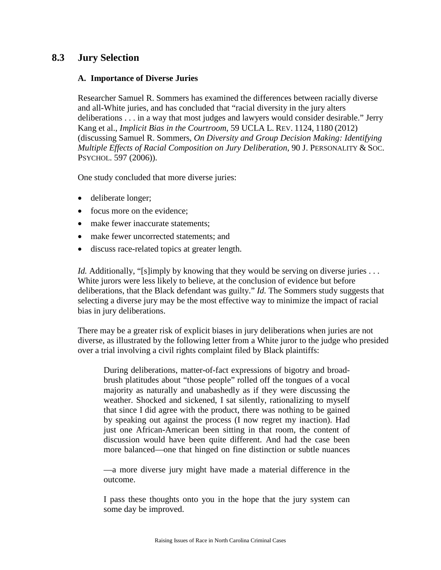# **8.3 Jury Selection**

#### **A. Importance of Diverse Juries**

Researcher Samuel R. Sommers has examined the differences between racially diverse and all-White juries, and has concluded that "racial diversity in the jury alters deliberations . . . in a way that most judges and lawyers would consider desirable." Jerry Kang et al., *Implicit Bias in the Courtroom*, 59 UCLA L. REV. 1124, 1180 (2012) (discussing Samuel R. Sommers, *On Diversity and Group Decision Making: Identifying Multiple Effects of Racial Composition on Jury Deliberation*, 90 J. PERSONALITY & SOC. PSYCHOL. 597 (2006)).

One study concluded that more diverse juries:

- deliberate longer;
- focus more on the evidence:
- make fewer inaccurate statements:
- make fewer uncorrected statements; and
- discuss race-related topics at greater length.

*Id.* Additionally, "[s]imply by knowing that they would be serving on diverse juries . . . White jurors were less likely to believe, at the conclusion of evidence but before deliberations, that the Black defendant was guilty." *Id.* The Sommers study suggests that selecting a diverse jury may be the most effective way to minimize the impact of racial bias in jury deliberations.

There may be a greater risk of explicit biases in jury deliberations when juries are not diverse, as illustrated by the following letter from a White juror to the judge who presided over a trial involving a civil rights complaint filed by Black plaintiffs:

During deliberations, matter-of-fact expressions of bigotry and broadbrush platitudes about "those people" rolled off the tongues of a vocal majority as naturally and unabashedly as if they were discussing the weather. Shocked and sickened, I sat silently, rationalizing to myself that since I did agree with the product, there was nothing to be gained by speaking out against the process (I now regret my inaction). Had just one African-American been sitting in that room, the content of discussion would have been quite different. And had the case been more balanced—one that hinged on fine distinction or subtle nuances

—a more diverse jury might have made a material difference in the outcome.

I pass these thoughts onto you in the hope that the jury system can some day be improved.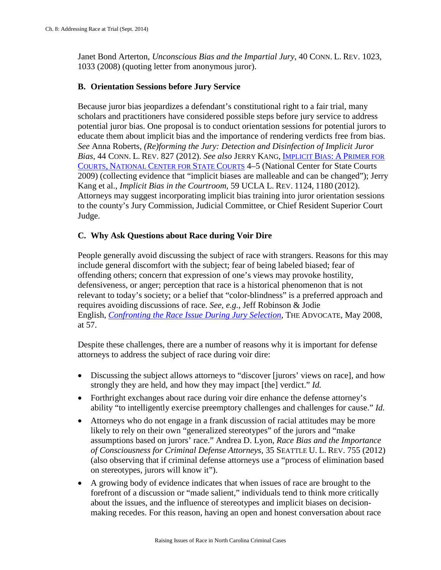Janet Bond Arterton, *Unconscious Bias and the Impartial Jury*, 40 CONN. L. REV. 1023, 1033 (2008) (quoting letter from anonymous juror).

### **B. Orientation Sessions before Jury Service**

Because juror bias jeopardizes a defendant's constitutional right to a fair trial, many scholars and practitioners have considered possible steps before jury service to address potential juror bias. One proposal is to conduct orientation sessions for potential jurors to educate them about implicit bias and the importance of rendering verdicts free from bias. *See* Anna Roberts, *(Re)forming the Jury: Detection and Disinfection of Implicit Juror Bias*, 44 CONN. L. REV. 827 (2012). *See also* JERRY KANG, [IMPLICIT BIAS:](http://www.ncsc.org/%7E/media/Files/PDF/Topics/Gender%20and%20Racial%20Fairness/kangIBprimer.ashx) A PRIMER FOR COURTS, [NATIONAL CENTER FOR STATE COURTS](http://www.ncsc.org/%7E/media/Files/PDF/Topics/Gender%20and%20Racial%20Fairness/kangIBprimer.ashx) 4–5 (National Center for State Courts 2009) (collecting evidence that "implicit biases are malleable and can be changed"); Jerry Kang et al., *Implicit Bias in the Courtroom*, 59 UCLA L. REV. 1124, 1180 (2012). Attorneys may suggest incorporating implicit bias training into juror orientation sessions to the county's Jury Commission, Judicial Committee, or Chief Resident Superior Court Judge.

### **C. Why Ask Questions about Race during Voir Dire**

People generally avoid discussing the subject of race with strangers. Reasons for this may include general discomfort with the subject; fear of being labeled biased; fear of offending others; concern that expression of one's views may provoke hostility, defensiveness, or anger; perception that race is a historical phenomenon that is not relevant to today's society; or a belief that "color-blindness" is a preferred approach and requires avoiding discussions of race. *See, e.g.*, Jeff Robinson & Jodie English, *[Confronting the Race Issue During Jury Selection](http://apps.dpa.ky.gov/library/advocate/pdf/2008/adv050108.pdf)*, THE ADVOCATE, May 2008, at 57.

Despite these challenges, there are a number of reasons why it is important for defense attorneys to address the subject of race during voir dire:

- Discussing the subject allows attorneys to "discover [jurors' views on race], and how strongly they are held, and how they may impact [the] verdict." *Id.*
- Forthright exchanges about race during voir dire enhance the defense attorney's ability "to intelligently exercise preemptory challenges and challenges for cause." *Id.*
- Attorneys who do not engage in a frank discussion of racial attitudes may be more likely to rely on their own "generalized stereotypes" of the jurors and "make assumptions based on jurors' race." Andrea D. Lyon, *Race Bias and the Importance of Consciousness for Criminal Defense Attorneys*, 35 SEATTLE U. L. REV. 755 (2012) (also observing that if criminal defense attorneys use a "process of elimination based on stereotypes, jurors will know it").
- A growing body of evidence indicates that when issues of race are brought to the forefront of a discussion or "made salient," individuals tend to think more critically about the issues, and the influence of stereotypes and implicit biases on decisionmaking recedes. For this reason, having an open and honest conversation about race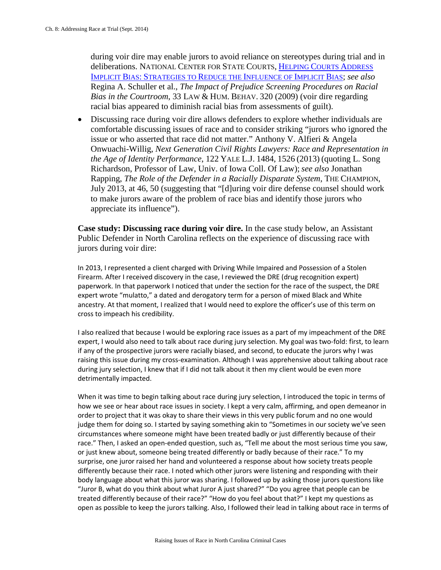during voir dire may enable jurors to avoid reliance on stereotypes during trial and in deliberations. NATIONAL CENTER FOR STATE COURTS, [HELPING COURTS ADDRESS](http://www.ncsc.org/%7E/media/Files/PDF/Topics/Gender%20and%20Racial%20Fairness/IB_Strategies_033012.ashx)  IMPLICIT BIAS: [STRATEGIES TO REDUCE THE INFLUENCE OF IMPLICIT BIAS;](http://www.ncsc.org/%7E/media/Files/PDF/Topics/Gender%20and%20Racial%20Fairness/IB_Strategies_033012.ashx) *see also*  Regina A. Schuller et al., *The Impact of Prejudice Screening Procedures on Racial Bias in the Courtroom*, 33 LAW & HUM. BEHAV. 320 (2009) (voir dire regarding racial bias appeared to diminish racial bias from assessments of guilt).

• Discussing race during voir dire allows defenders to explore whether individuals are comfortable discussing issues of race and to consider striking "jurors who ignored the issue or who asserted that race did not matter." Anthony V. Alfieri & Angela Onwuachi-Willig, *Next Generation Civil Rights Lawyers: Race and Representation in the Age of Identity Performance*, 122 YALE L.J. 1484, 1526 (2013) (quoting L. Song Richardson, Professor of Law, Univ. of Iowa Coll. Of Law); *see also* Jonathan Rapping, *The Role of the Defender in a Racially Disparate System*, THE CHAMPION, July 2013, at 46, 50 (suggesting that "[d]uring voir dire defense counsel should work to make jurors aware of the problem of race bias and identify those jurors who appreciate its influence").

**Case study: Discussing race during voir dire.** In the case study below, an Assistant Public Defender in North Carolina reflects on the experience of discussing race with jurors during voir dire:

In 2013, I represented a client charged with Driving While Impaired and Possession of a Stolen Firearm. After I received discovery in the case, I reviewed the DRE (drug recognition expert) paperwork. In that paperwork I noticed that under the section for the race of the suspect, the DRE expert wrote "mulatto," a dated and derogatory term for a person of mixed Black and White ancestry. At that moment, I realized that I would need to explore the officer's use of this term on cross to impeach his credibility.

I also realized that because I would be exploring race issues as a part of my impeachment of the DRE expert, I would also need to talk about race during jury selection. My goal was two-fold: first, to learn if any of the prospective jurors were racially biased, and second, to educate the jurors why I was raising this issue during my cross-examination. Although I was apprehensive about talking about race during jury selection, I knew that if I did not talk about it then my client would be even more detrimentally impacted.

When it was time to begin talking about race during jury selection, I introduced the topic in terms of how we see or hear about race issues in society. I kept a very calm, affirming, and open demeanor in order to project that it was okay to share their views in this very public forum and no one would judge them for doing so. I started by saying something akin to "Sometimes in our society we've seen circumstances where someone might have been treated badly or just differently because of their race." Then, I asked an open-ended question, such as, "Tell me about the most serious time you saw, or just knew about, someone being treated differently or badly because of their race." To my surprise, one juror raised her hand and volunteered a response about how society treats people differently because their race. I noted which other jurors were listening and responding with their body language about what this juror was sharing. I followed up by asking those jurors questions like "Juror B, what do you think about what Juror A just shared?" "Do you agree that people can be treated differently because of their race?" "How do you feel about that?" I kept my questions as open as possible to keep the jurors talking. Also, I followed their lead in talking about race in terms of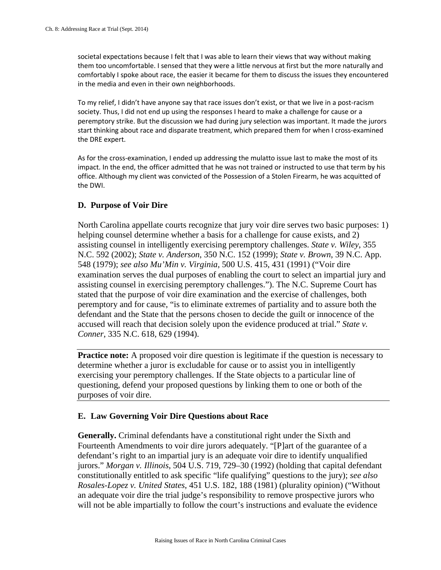societal expectations because I felt that I was able to learn their views that way without making them too uncomfortable. I sensed that they were a little nervous at first but the more naturally and comfortably I spoke about race, the easier it became for them to discuss the issues they encountered in the media and even in their own neighborhoods.

To my relief, I didn't have anyone say that race issues don't exist, or that we live in a post-racism society. Thus, I did not end up using the responses I heard to make a challenge for cause or a peremptory strike. But the discussion we had during jury selection was important. It made the jurors start thinking about race and disparate treatment, which prepared them for when I cross-examined the DRE expert.

As for the cross-examination, I ended up addressing the mulatto issue last to make the most of its impact. In the end, the officer admitted that he was not trained or instructed to use that term by his office. Although my client was convicted of the Possession of a Stolen Firearm, he was acquitted of the DWI.

#### **D. Purpose of Voir Dire**

North Carolina appellate courts recognize that jury voir dire serves two basic purposes: 1) helping counsel determine whether a basis for a challenge for cause exists, and 2) assisting counsel in intelligently exercising peremptory challenges. *State v. Wiley*, 355 N.C. 592 (2002); *State v. Anderson*, 350 N.C. 152 (1999); *State v. Brown*, 39 N.C. App. 548 (1979); *see also Mu'Min v. Virginia*, 500 U.S. 415, 431 (1991) ("Voir dire examination serves the dual purposes of enabling the court to select an impartial jury and assisting counsel in exercising peremptory challenges."). The N.C. Supreme Court has stated that the purpose of voir dire examination and the exercise of challenges, both peremptory and for cause, "is to eliminate extremes of partiality and to assure both the defendant and the State that the persons chosen to decide the guilt or innocence of the accused will reach that decision solely upon the evidence produced at trial." *State v. Conner*, 335 N.C. 618, 629 (1994).

**Practice note:** A proposed voir dire question is legitimate if the question is necessary to determine whether a juror is excludable for cause or to assist you in intelligently exercising your peremptory challenges. If the State objects to a particular line of questioning, defend your proposed questions by linking them to one or both of the purposes of voir dire.

## **E. Law Governing Voir Dire Questions about Race**

**Generally.** Criminal defendants have a constitutional right under the Sixth and Fourteenth Amendments to voir dire jurors adequately. "[P]art of the guarantee of a defendant's right to an impartial jury is an adequate voir dire to identify unqualified jurors." *Morgan v. Illinois*, 504 U.S. 719, 729–30 (1992) (holding that capital defendant constitutionally entitled to ask specific "life qualifying" questions to the jury); *see also Rosales-Lopez v. United States*, 451 U.S. 182, 188 (1981) (plurality opinion) ("Without an adequate voir dire the trial judge's responsibility to remove prospective jurors who will not be able impartially to follow the court's instructions and evaluate the evidence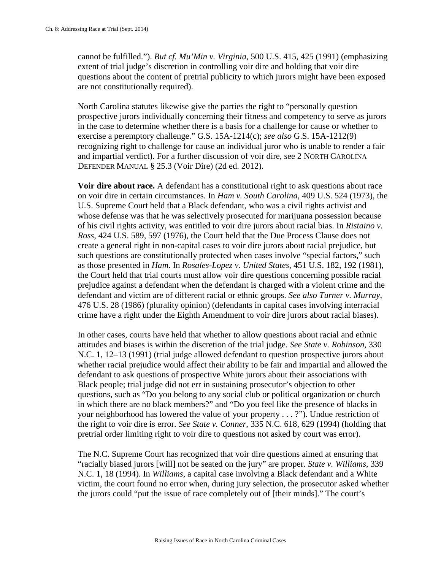cannot be fulfilled."). *But cf. Mu'Min v. Virginia*, 500 U.S. 415, 425 (1991) (emphasizing extent of trial judge's discretion in controlling voir dire and holding that voir dire questions about the content of pretrial publicity to which jurors might have been exposed are not constitutionally required).

North Carolina statutes likewise give the parties the right to "personally question prospective jurors individually concerning their fitness and competency to serve as jurors in the case to determine whether there is a basis for a challenge for cause or whether to exercise a peremptory challenge." G.S. 15A-1214(c); *see also* G.S. 15A-1212(9) recognizing right to challenge for cause an individual juror who is unable to render a fair and impartial verdict). For a further discussion of voir dire, see 2 NORTH CAROLINA DEFENDER MANUAL § 25.3 (Voir Dire) (2d ed. 2012).

**Voir dire about race.** A defendant has a constitutional right to ask questions about race on voir dire in certain circumstances. In *Ham v. South Carolina*, 409 U.S. 524 (1973), the U.S. Supreme Court held that a Black defendant, who was a civil rights activist and whose defense was that he was selectively prosecuted for marijuana possession because of his civil rights activity, was entitled to voir dire jurors about racial bias. In *Ristaino v. Ross*, 424 U.S. 589, 597 (1976), the Court held that the Due Process Clause does not create a general right in non-capital cases to voir dire jurors about racial prejudice, but such questions are constitutionally protected when cases involve "special factors," such as those presented in *Ham*. In *Rosales-Lopez v. United States*, 451 U.S. 182, 192 (1981), the Court held that trial courts must allow voir dire questions concerning possible racial prejudice against a defendant when the defendant is charged with a violent crime and the defendant and victim are of different racial or ethnic groups. *See also Turner v. Murray*, 476 U.S. 28 (1986) (plurality opinion) (defendants in capital cases involving interracial crime have a right under the Eighth Amendment to voir dire jurors about racial biases).

In other cases, courts have held that whether to allow questions about racial and ethnic attitudes and biases is within the discretion of the trial judge. *See State v. Robinson,* 330 N.C. 1, 12–13 (1991) (trial judge allowed defendant to question prospective jurors about whether racial prejudice would affect their ability to be fair and impartial and allowed the defendant to ask questions of prospective White jurors about their associations with Black people; trial judge did not err in sustaining prosecutor's objection to other questions, such as "Do you belong to any social club or political organization or church in which there are no black members?" and "Do you feel like the presence of blacks in your neighborhood has lowered the value of your property . . . ?"). Undue restriction of the right to voir dire is error. *See State v. Conner*, 335 N.C. 618, 629 (1994) (holding that pretrial order limiting right to voir dire to questions not asked by court was error).

The N.C. Supreme Court has recognized that voir dire questions aimed at ensuring that "racially biased jurors [will] not be seated on the jury" are proper. *State v. Williams*, 339 N.C. 1, 18 (1994). In *Williams*, a capital case involving a Black defendant and a White victim, the court found no error when, during jury selection, the prosecutor asked whether the jurors could "put the issue of race completely out of [their minds]." The court's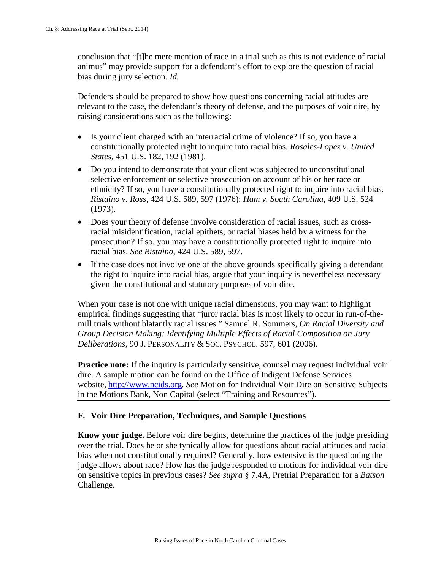conclusion that "[t]he mere mention of race in a trial such as this is not evidence of racial animus" may provide support for a defendant's effort to explore the question of racial bias during jury selection. *Id.*

Defenders should be prepared to show how questions concerning racial attitudes are relevant to the case, the defendant's theory of defense, and the purposes of voir dire, by raising considerations such as the following:

- Is your client charged with an interracial crime of violence? If so, you have a constitutionally protected right to inquire into racial bias. *Rosales-Lopez v. United States*, 451 U.S. 182, 192 (1981).
- Do you intend to demonstrate that your client was subjected to unconstitutional selective enforcement or selective prosecution on account of his or her race or ethnicity? If so, you have a constitutionally protected right to inquire into racial bias. *Ristaino v. Ross*, 424 U.S. 589, 597 (1976); *Ham v. South Carolina*, 409 U.S. 524 (1973).
- Does your theory of defense involve consideration of racial issues, such as crossracial misidentification, racial epithets, or racial biases held by a witness for the prosecution? If so, you may have a constitutionally protected right to inquire into racial bias. *See Ristaino*, 424 U.S. 589, 597.
- If the case does not involve one of the above grounds specifically giving a defendant the right to inquire into racial bias, argue that your inquiry is nevertheless necessary given the constitutional and statutory purposes of voir dire.

When your case is not one with unique racial dimensions, you may want to highlight empirical findings suggesting that "juror racial bias is most likely to occur in run-of-themill trials without blatantly racial issues." Samuel R. Sommers, *On Racial Diversity and Group Decision Making: Identifying Multiple Effects of Racial Composition on Jury Deliberations*, 90 J. PERSONALITY & SOC. PSYCHOL. 597, 601 (2006).

**Practice note:** If the inquiry is particularly sensitive, counsel may request individual voir dire. A sample motion can be found on the Office of Indigent Defense Services website, [http://www.ncids.org.](http://www.ncids.org/) *See* Motion for Individual Voir Dire on Sensitive Subjects in the Motions Bank, Non Capital (select "Training and Resources").

## **F. Voir Dire Preparation, Techniques, and Sample Questions**

**Know your judge.** Before voir dire begins, determine the practices of the judge presiding over the trial. Does he or she typically allow for questions about racial attitudes and racial bias when not constitutionally required? Generally, how extensive is the questioning the judge allows about race? How has the judge responded to motions for individual voir dire on sensitive topics in previous cases? *See supra* § 7.4A, Pretrial Preparation for a *Batson* Challenge.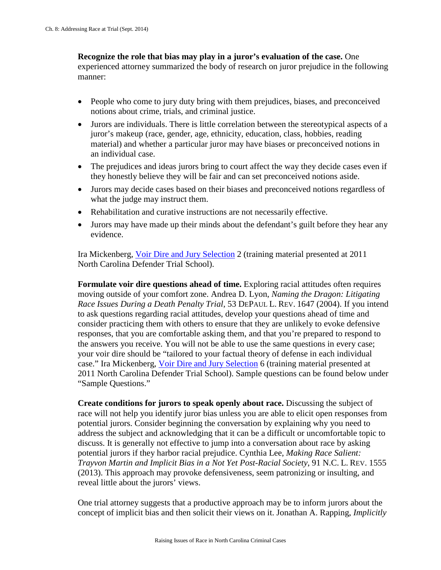#### **Recognize the role that bias may play in a juror's evaluation of the case.** One experienced attorney summarized the body of research on juror prejudice in the following manner:

- People who come to jury duty bring with them prejudices, biases, and preconceived notions about crime, trials, and criminal justice.
- Jurors are individuals. There is little correlation between the stereotypical aspects of a juror's makeup (race, gender, age, ethnicity, education, class, hobbies, reading material) and whether a particular juror may have biases or preconceived notions in an individual case.
- The prejudices and ideas jurors bring to court affect the way they decide cases even if they honestly believe they will be fair and can set preconceived notions aside.
- Jurors may decide cases based on their biases and preconceived notions regardless of what the judge may instruct them.
- Rehabilitation and curative instructions are not necessarily effective.
- Jurors may have made up their minds about the defendant's guilt before they hear any evidence.

Ira Mickenberg, [Voir Dire and Jury Selection](http://www.ncids.org/Defender%20Training/2011DefenderTrialSchool/VoirDire.pdf) 2 (training material presented at 2011 North Carolina Defender Trial School).

**Formulate voir dire questions ahead of time.** Exploring racial attitudes often requires moving outside of your comfort zone. Andrea D. Lyon, *Naming the Dragon: Litigating Race Issues During a Death Penalty Trial*, 53 DEPAUL L. REV. 1647 (2004). If you intend to ask questions regarding racial attitudes, develop your questions ahead of time and consider practicing them with others to ensure that they are unlikely to evoke defensive responses, that you are comfortable asking them, and that you're prepared to respond to the answers you receive. You will not be able to use the same questions in every case; your voir dire should be "tailored to your factual theory of defense in each individual case." Ira Mickenberg, [Voir Dire and Jury Selection](http://www.ncids.org/Defender%20Training/2011DefenderTrialSchool/VoirDire.pdf) 6 (training material presented at 2011 North Carolina Defender Trial School). Sample questions can be found below under "Sample Questions."

**Create conditions for jurors to speak openly about race.** Discussing the subject of race will not help you identify juror bias unless you are able to elicit open responses from potential jurors. Consider beginning the conversation by explaining why you need to address the subject and acknowledging that it can be a difficult or uncomfortable topic to discuss. It is generally not effective to jump into a conversation about race by asking potential jurors if they harbor racial prejudice. Cynthia Lee, *Making Race Salient: Trayvon Martin and Implicit Bias in a Not Yet Post-Racial Society*, 91 N.C. L. REV. 1555 (2013). This approach may provoke defensiveness, seem patronizing or insulting, and reveal little about the jurors' views.

One trial attorney suggests that a productive approach may be to inform jurors about the concept of implicit bias and then solicit their views on it. Jonathan A. Rapping, *Implicitly*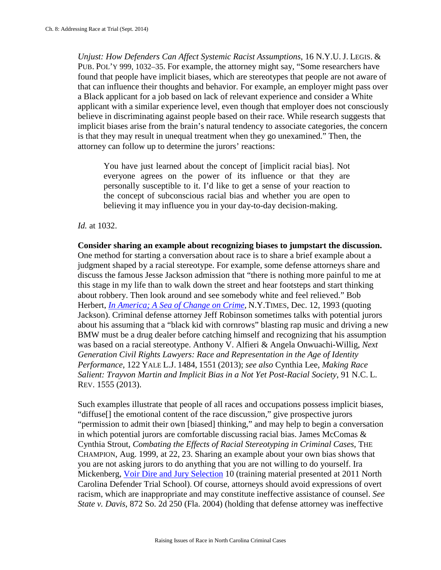*Unjust: How Defenders Can Affect Systemic Racist Assumptions*, 16 N.Y.U. J. LEGIS. & PUB. POL'Y 999, 1032–35. For example, the attorney might say, "Some researchers have found that people have implicit biases, which are stereotypes that people are not aware of that can influence their thoughts and behavior. For example, an employer might pass over a Black applicant for a job based on lack of relevant experience and consider a White applicant with a similar experience level, even though that employer does not consciously believe in discriminating against people based on their race. While research suggests that implicit biases arise from the brain's natural tendency to associate categories, the concern is that they may result in unequal treatment when they go unexamined." Then, the attorney can follow up to determine the jurors' reactions:

You have just learned about the concept of [implicit racial bias]. Not everyone agrees on the power of its influence or that they are personally susceptible to it. I'd like to get a sense of your reaction to the concept of subconscious racial bias and whether you are open to believing it may influence you in your day-to-day decision-making.

*Id.* at 1032.

**Consider sharing an example about recognizing biases to jumpstart the discussion.**  One method for starting a conversation about race is to share a brief example about a judgment shaped by a racial stereotype. For example, some defense attorneys share and discuss the famous Jesse Jackson admission that "there is nothing more painful to me at this stage in my life than to walk down the street and hear footsteps and start thinking about robbery. Then look around and see somebody white and feel relieved." Bob Herbert, *[In America; A Sea of Change on Crime](http://www.nytimes.com/1993/12/12/opinion/in-america-a-sea-change-on-crime.html)*, N.Y.TIMES, Dec. 12, 1993 (quoting Jackson). Criminal defense attorney Jeff Robinson sometimes talks with potential jurors about his assuming that a "black kid with cornrows" blasting rap music and driving a new BMW must be a drug dealer before catching himself and recognizing that his assumption was based on a racial stereotype. Anthony V. Alfieri & Angela Onwuachi-Willig, *Next Generation Civil Rights Lawyers: Race and Representation in the Age of Identity Performance*, 122 YALE L.J. 1484, 1551 (2013); *see also* Cynthia Lee, *Making Race Salient: Trayvon Martin and Implicit Bias in a Not Yet Post-Racial Society*, 91 N.C. L. REV. 1555 (2013).

Such examples illustrate that people of all races and occupations possess implicit biases, "diffuse[] the emotional content of the race discussion," give prospective jurors "permission to admit their own [biased] thinking," and may help to begin a conversation in which potential jurors are comfortable discussing racial bias. James McComas & Cynthia Strout, *Combating the Effects of Racial Stereotyping in Criminal Cases*, THE CHAMPION, Aug. 1999, at 22, 23. Sharing an example about your own bias shows that you are not asking jurors to do anything that you are not willing to do yourself. Ira Mickenberg, [Voir Dire and Jury Selection](http://www.ncids.org/Defender%20Training/2011DefenderTrialSchool/VoirDire.pdf) 10 (training material presented at 2011 North Carolina Defender Trial School). Of course, attorneys should avoid expressions of overt racism, which are inappropriate and may constitute ineffective assistance of counsel. *See State v. Davis*, 872 So. 2d 250 (Fla. 2004) (holding that defense attorney was ineffective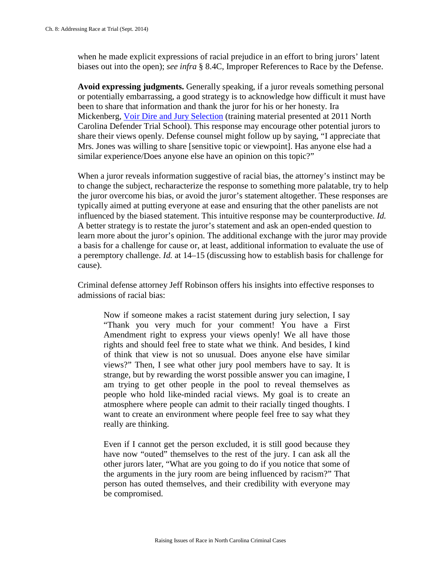when he made explicit expressions of racial prejudice in an effort to bring jurors' latent biases out into the open); *see infra* § 8.4C, Improper References to Race by the Defense.

**Avoid expressing judgments.** Generally speaking, if a juror reveals something personal or potentially embarrassing, a good strategy is to acknowledge how difficult it must have been to share that information and thank the juror for his or her honesty. Ira Mickenberg, [Voir Dire and Jury Selection](http://www.ncids.org/Defender%20Training/2011DefenderTrialSchool/VoirDire.pdf) (training material presented at 2011 North Carolina Defender Trial School). This response may encourage other potential jurors to share their views openly. Defense counsel might follow up by saying, "I appreciate that Mrs. Jones was willing to share [sensitive topic or viewpoint]. Has anyone else had a similar experience/Does anyone else have an opinion on this topic?"

When a juror reveals information suggestive of racial bias, the attorney's instinct may be to change the subject, recharacterize the response to something more palatable, try to help the juror overcome his bias, or avoid the juror's statement altogether. These responses are typically aimed at putting everyone at ease and ensuring that the other panelists are not influenced by the biased statement. This intuitive response may be counterproductive. *Id.* A better strategy is to restate the juror's statement and ask an open-ended question to learn more about the juror's opinion. The additional exchange with the juror may provide a basis for a challenge for cause or, at least, additional information to evaluate the use of a peremptory challenge. *Id.* at 14–15 (discussing how to establish basis for challenge for cause).

Criminal defense attorney Jeff Robinson offers his insights into effective responses to admissions of racial bias:

Now if someone makes a racist statement during jury selection, I say "Thank you very much for your comment! You have a First Amendment right to express your views openly! We all have those rights and should feel free to state what we think. And besides, I kind of think that view is not so unusual. Does anyone else have similar views?" Then, I see what other jury pool members have to say. It is strange, but by rewarding the worst possible answer you can imagine, I am trying to get other people in the pool to reveal themselves as people who hold like-minded racial views. My goal is to create an atmosphere where people can admit to their racially tinged thoughts. I want to create an environment where people feel free to say what they really are thinking.

Even if I cannot get the person excluded, it is still good because they have now "outed" themselves to the rest of the jury. I can ask all the other jurors later, "What are you going to do if you notice that some of the arguments in the jury room are being influenced by racism?" That person has outed themselves, and their credibility with everyone may be compromised.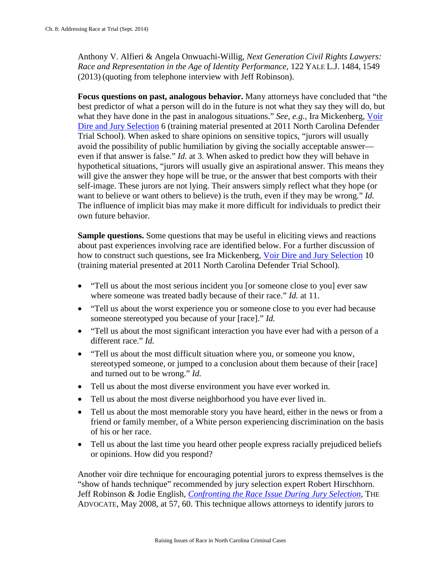Anthony V. Alfieri & Angela Onwuachi-Willig, *Next Generation Civil Rights Lawyers: Race and Representation in the Age of Identity Performance*, 122 YALE L.J. 1484, 1549 (2013) (quoting from telephone interview with Jeff Robinson).

**Focus questions on past, analogous behavior.** Many attorneys have concluded that "the best predictor of what a person will do in the future is not what they say they will do, but what they have done in the past in analogous situations." *See, e.g.*, Ira Mickenberg, [Voir](http://www.ncids.org/Defender%20Training/2011DefenderTrialSchool/VoirDire.pdf)  [Dire and Jury Selection](http://www.ncids.org/Defender%20Training/2011DefenderTrialSchool/VoirDire.pdf) 6 (training material presented at 2011 North Carolina Defender Trial School). When asked to share opinions on sensitive topics, "jurors will usually avoid the possibility of public humiliation by giving the socially acceptable answer even if that answer is false." *Id.* at 3. When asked to predict how they will behave in hypothetical situations, "jurors will usually give an aspirational answer. This means they will give the answer they hope will be true, or the answer that best comports with their self-image. These jurors are not lying. Their answers simply reflect what they hope (or want to believe or want others to believe) is the truth, even if they may be wrong." *Id.*  The influence of implicit bias may make it more difficult for individuals to predict their own future behavior.

**Sample questions.** Some questions that may be useful in eliciting views and reactions about past experiences involving race are identified below. For a further discussion of how to construct such questions, see Ira Mickenberg, [Voir Dire and Jury Selection](http://www.ncids.org/Defender%20Training/2011DefenderTrialSchool/VoirDire.pdf) 10 (training material presented at 2011 North Carolina Defender Trial School).

- "Tell us about the most serious incident you [or someone close to you] ever saw where someone was treated badly because of their race." *Id.* at 11.
- "Tell us about the worst experience you or someone close to you ever had because someone stereotyped you because of your [race]." *Id.*
- "Tell us about the most significant interaction you have ever had with a person of a different race." *Id.*
- "Tell us about the most difficult situation where you, or someone you know, stereotyped someone, or jumped to a conclusion about them because of their [race] and turned out to be wrong." *Id.*
- Tell us about the most diverse environment you have ever worked in.
- Tell us about the most diverse neighborhood you have ever lived in.
- Tell us about the most memorable story you have heard, either in the news or from a friend or family member, of a White person experiencing discrimination on the basis of his or her race.
- Tell us about the last time you heard other people express racially prejudiced beliefs or opinions. How did you respond?

Another voir dire technique for encouraging potential jurors to express themselves is the "show of hands technique" recommended by jury selection expert Robert Hirschhorn. Jeff Robinson & Jodie English, *[Confronting the Race Issue During Jury Selection](http://apps.dpa.ky.gov/library/advocate/pdf/2008/adv050108.pdf)*, THE ADVOCATE, May 2008, at 57, 60. This technique allows attorneys to identify jurors to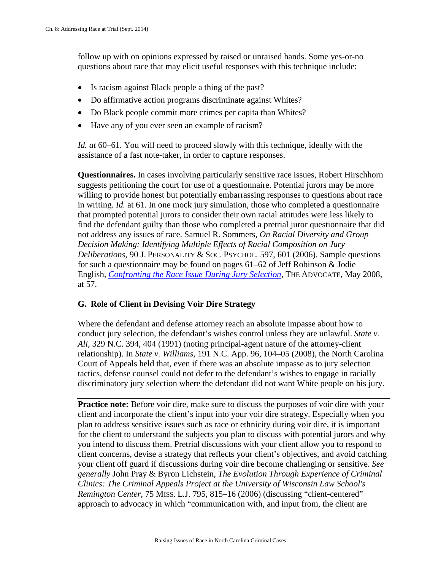follow up with on opinions expressed by raised or unraised hands. Some yes-or-no questions about race that may elicit useful responses with this technique include:

- Is racism against Black people a thing of the past?
- Do affirmative action programs discriminate against Whites?
- Do Black people commit more crimes per capita than Whites?
- Have any of you ever seen an example of racism?

*Id. at* 60–61. You will need to proceed slowly with this technique, ideally with the assistance of a fast note-taker, in order to capture responses.

**Questionnaires.** In cases involving particularly sensitive race issues, Robert Hirschhorn suggests petitioning the court for use of a questionnaire. Potential jurors may be more willing to provide honest but potentially embarrassing responses to questions about race in writing. *Id.* at 61. In one mock jury simulation, those who completed a questionnaire that prompted potential jurors to consider their own racial attitudes were less likely to find the defendant guilty than those who completed a pretrial juror questionnaire that did not address any issues of race. Samuel R. Sommers, *On Racial Diversity and Group Decision Making: Identifying Multiple Effects of Racial Composition on Jury Deliberations*, 90 J. PERSONALITY & SOC. PSYCHOL. 597, 601 (2006). Sample questions for such a questionnaire may be found on pages 61–62 of Jeff Robinson & Jodie English, *[Confronting the Race Issue During Jury Selection](http://apps.dpa.ky.gov/library/advocate/pdf/2008/adv050108.pdf)*, THE ADVOCATE, May 2008, at 57.

## **G. Role of Client in Devising Voir Dire Strategy**

Where the defendant and defense attorney reach an absolute impasse about how to conduct jury selection, the defendant's wishes control unless they are unlawful. *State v. Ali,* 329 N.C. 394, 404 (1991) (noting principal-agent nature of the attorney-client relationship). In *State v. Williams,* 191 N.C. App. 96, 104–05 (2008), the North Carolina Court of Appeals held that, even if there was an absolute impasse as to jury selection tactics, defense counsel could not defer to the defendant's wishes to engage in racially discriminatory jury selection where the defendant did not want White people on his jury.

**Practice note:** Before voir dire, make sure to discuss the purposes of voir dire with your client and incorporate the client's input into your voir dire strategy. Especially when you plan to address sensitive issues such as race or ethnicity during voir dire, it is important for the client to understand the subjects you plan to discuss with potential jurors and why you intend to discuss them. Pretrial discussions with your client allow you to respond to client concerns, devise a strategy that reflects your client's objectives, and avoid catching your client off guard if discussions during voir dire become challenging or sensitive. *See generally* John Pray & Byron Lichstein, *The Evolution Through Experience of Criminal Clinics: The Criminal Appeals Project at the University of Wisconsin Law School's Remington Center,* 75 MISS. L.J. 795, 815–16 (2006) (discussing "client-centered" approach to advocacy in which "communication with, and input from, the client are